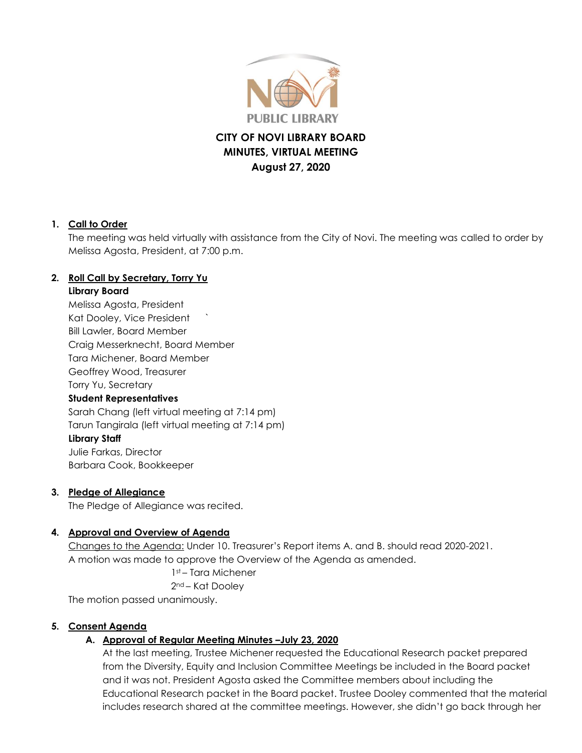

# **CITY OF NOVI LIBRARY BOARD MINUTES, VIRTUAL MEETING August 27, 2020**

#### **1. Call to Order**

The meeting was held virtually with assistance from the City of Novi. The meeting was called to order by Melissa Agosta, President, at 7:00 p.m.

### **2. Roll Call by Secretary, Torry Yu**

#### **Library Board**

Melissa Agosta, President Kat Dooley, Vice President ` Bill Lawler, Board Member Craig Messerknecht, Board Member Tara Michener, Board Member Geoffrey Wood, Treasurer Torry Yu, Secretary **Student Representatives** Sarah Chang (left virtual meeting at 7:14 pm) Tarun Tangirala (left virtual meeting at 7:14 pm)

### **Library Staff**

Julie Farkas, Director Barbara Cook, Bookkeeper

#### **3. Pledge of Allegiance**

The Pledge of Allegiance was recited.

### **4. Approval and Overview of Agenda**

Changes to the Agenda: Under 10. Treasurer's Report items A. and B. should read 2020-2021. A motion was made to approve the Overview of the Agenda as amended.

1st – Tara Michener

2nd – Kat Dooley

The motion passed unanimously.

### **5. Consent Agenda**

### **A. Approval of Regular Meeting Minutes –July 23, 2020**

At the last meeting, Trustee Michener requested the Educational Research packet prepared from the Diversity, Equity and Inclusion Committee Meetings be included in the Board packet and it was not. President Agosta asked the Committee members about including the Educational Research packet in the Board packet. Trustee Dooley commented that the material includes research shared at the committee meetings. However, she didn't go back through her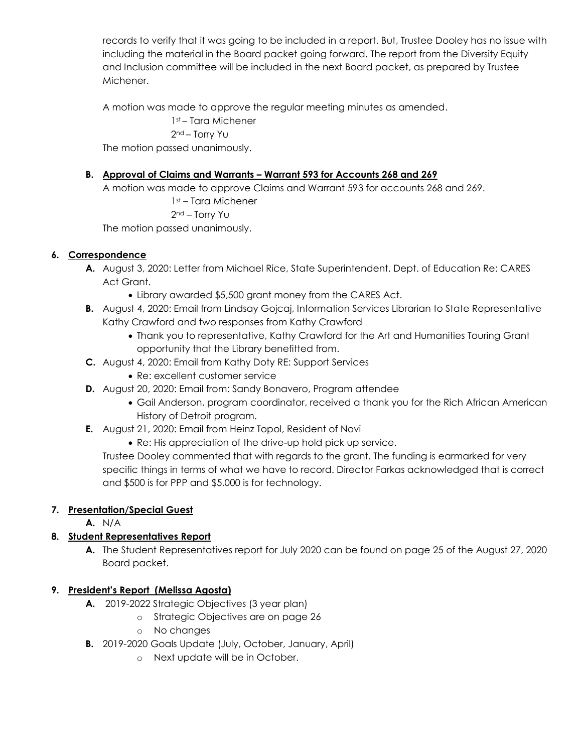records to verify that it was going to be included in a report. But, Trustee Dooley has no issue with including the material in the Board packet going forward. The report from the Diversity Equity and Inclusion committee will be included in the next Board packet, as prepared by Trustee Michener.

A motion was made to approve the regular meeting minutes as amended.

1st – Tara Michener 2nd – Torry Yu The motion passed unanimously.

## **B. Approval of Claims and Warrants – Warrant 593 for Accounts 268 and 269**

A motion was made to approve Claims and Warrant 593 for accounts 268 and 269.

1st – Tara Michener 2nd – Torry Yu

The motion passed unanimously.

### **6. Correspondence**

- **A.** August 3, 2020: Letter from Michael Rice, State Superintendent, Dept. of Education Re: CARES Act Grant.
	- Library awarded \$5,500 grant money from the CARES Act.
- **B.** August 4, 2020: Email from Lindsay Gojcaj, Information Services Librarian to State Representative Kathy Crawford and two responses from Kathy Crawford
	- Thank you to representative, Kathy Crawford for the Art and Humanities Touring Grant opportunity that the Library benefitted from.
- **C.** August 4, 2020: Email from Kathy Doty RE: Support Services
	- Re: excellent customer service
- **D.** August 20, 2020: Email from: Sandy Bonavero, Program attendee
	- Gail Anderson, program coordinator, received a thank you for the Rich African American History of Detroit program.
- **E.** August 21, 2020: Email from Heinz Topol, Resident of Novi
	- Re: His appreciation of the drive-up hold pick up service.

Trustee Dooley commented that with regards to the grant. The funding is earmarked for very specific things in terms of what we have to record. Director Farkas acknowledged that is correct and \$500 is for PPP and \$5,000 is for technology.

# **7. Presentation/Special Guest**

**A.** N/A

# **8. Student Representatives Report**

**A.** The Student Representatives report for July 2020 can be found on page 25 of the August 27, 2020 Board packet.

### **9. President's Report (Melissa Agosta)**

- **A.** 2019-2022 Strategic Objectives (3 year plan)
	- o Strategic Objectives are on page 26
	- o No changes
- **B.** 2019-2020 Goals Update (July, October, January, April)
	- o Next update will be in October.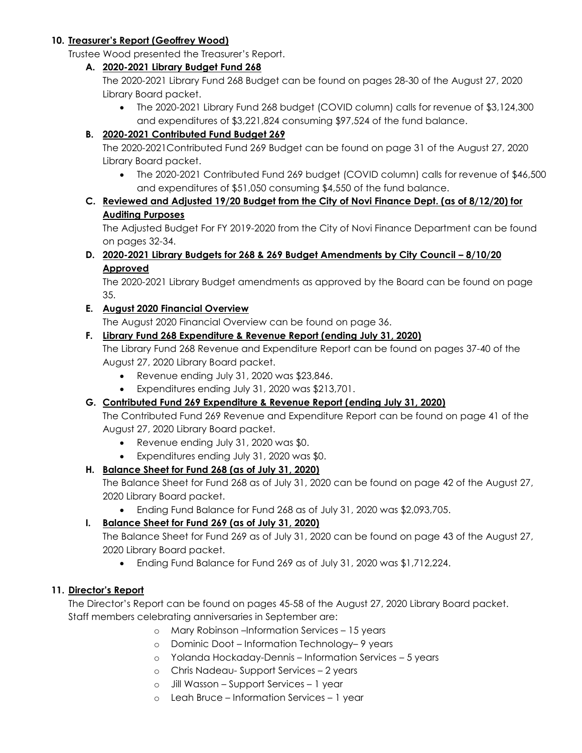#### **10. Treasurer's Report (Geoffrey Wood)**

Trustee Wood presented the Treasurer's Report.

#### **A. 2020-2021 Library Budget Fund 268**

The 2020-2021 Library Fund 268 Budget can be found on pages 28-30 of the August 27, 2020 Library Board packet.

 The 2020-2021 Library Fund 268 budget (COVID column) calls for revenue of \$3,124,300 and expenditures of \$3,221,824 consuming \$97,524 of the fund balance.

### **B. 2020-2021 Contributed Fund Budget 269**

The 2020-2021Contributed Fund 269 Budget can be found on page 31 of the August 27, 2020 Library Board packet.

 The 2020-2021 Contributed Fund 269 budget (COVID column) calls for revenue of \$46,500 and expenditures of \$51,050 consuming \$4,550 of the fund balance.

### **C. Reviewed and Adjusted 19/20 Budget from the City of Novi Finance Dept. (as of 8/12/20) for Auditing Purposes**

The Adjusted Budget For FY 2019-2020 from the City of Novi Finance Department can be found on pages 32-34.

**D. 2020-2021 Library Budgets for 268 & 269 Budget Amendments by City Council – 8/10/20 Approved**

The 2020-2021 Library Budget amendments as approved by the Board can be found on page 35.

### **E. August 2020 Financial Overview**

The August 2020 Financial Overview can be found on page 36.

### **F. Library Fund 268 Expenditure & Revenue Report (ending July 31, 2020)**

The Library Fund 268 Revenue and Expenditure Report can be found on pages 37-40 of the August 27, 2020 Library Board packet.

- Revenue ending July 31, 2020 was \$23,846.
- Expenditures ending July 31, 2020 was \$213,701.

# **G. Contributed Fund 269 Expenditure & Revenue Report (ending July 31, 2020)**

The Contributed Fund 269 Revenue and Expenditure Report can be found on page 41 of the August 27, 2020 Library Board packet.

- Revenue ending July 31, 2020 was \$0.
- Expenditures ending July 31, 2020 was \$0.

### **H. Balance Sheet for Fund 268 (as of July 31, 2020)**

The Balance Sheet for Fund 268 as of July 31, 2020 can be found on page 42 of the August 27, 2020 Library Board packet.

Ending Fund Balance for Fund 268 as of July 31, 2020 was \$2,093,705.

# **I. Balance Sheet for Fund 269 (as of July 31, 2020)**

The Balance Sheet for Fund 269 as of July 31, 2020 can be found on page 43 of the August 27, 2020 Library Board packet.

Ending Fund Balance for Fund 269 as of July 31, 2020 was \$1,712,224.

### **11. Director's Report**

The Director's Report can be found on pages 45-58 of the August 27, 2020 Library Board packet. Staff members celebrating anniversaries in September are:

- o Mary Robinson –Information Services 15 years
- o Dominic Doot Information Technology– 9 years
- o Yolanda Hockaday-Dennis Information Services 5 years
- o Chris Nadeau- Support Services 2 years
- o Jill Wasson Support Services 1 year
- o Leah Bruce Information Services 1 year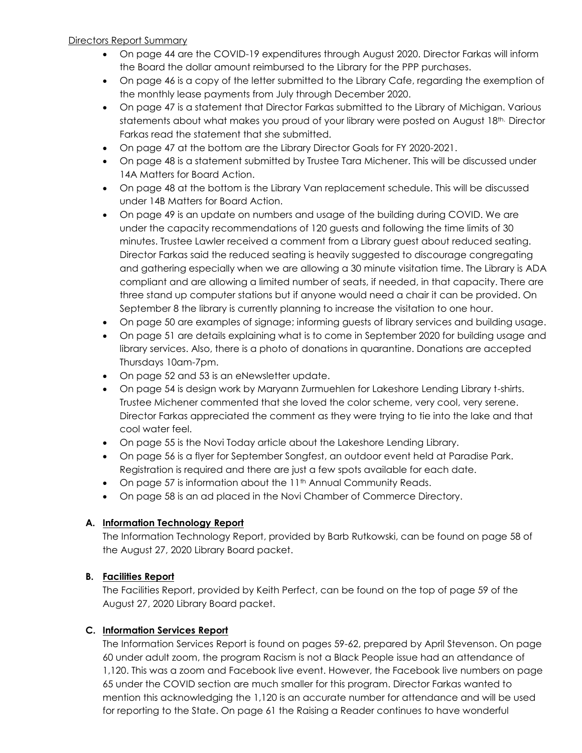#### Directors Report Summary

- On page 44 are the COVID-19 expenditures through August 2020. Director Farkas will inform the Board the dollar amount reimbursed to the Library for the PPP purchases.
- On page 46 is a copy of the letter submitted to the Library Cafe, regarding the exemption of the monthly lease payments from July through December 2020.
- On page 47 is a statement that Director Farkas submitted to the Library of Michigan. Various statements about what makes you proud of your library were posted on August 18th. Director Farkas read the statement that she submitted.
- On page 47 at the bottom are the Library Director Goals for FY 2020-2021.
- On page 48 is a statement submitted by Trustee Tara Michener. This will be discussed under 14A Matters for Board Action.
- On page 48 at the bottom is the Library Van replacement schedule. This will be discussed under 14B Matters for Board Action.
- On page 49 is an update on numbers and usage of the building during COVID. We are under the capacity recommendations of 120 guests and following the time limits of 30 minutes. Trustee Lawler received a comment from a Library guest about reduced seating. Director Farkas said the reduced seating is heavily suggested to discourage congregating and gathering especially when we are allowing a 30 minute visitation time. The Library is ADA compliant and are allowing a limited number of seats, if needed, in that capacity. There are three stand up computer stations but if anyone would need a chair it can be provided. On September 8 the library is currently planning to increase the visitation to one hour.
- On page 50 are examples of signage; informing guests of library services and building usage.
- On page 51 are details explaining what is to come in September 2020 for building usage and library services. Also, there is a photo of donations in quarantine. Donations are accepted Thursdays 10am-7pm.
- On page 52 and 53 is an eNewsletter update.
- On page 54 is design work by Maryann Zurmuehlen for Lakeshore Lending Library t-shirts. Trustee Michener commented that she loved the color scheme, very cool, very serene. Director Farkas appreciated the comment as they were trying to tie into the lake and that cool water feel.
- On page 55 is the Novi Today article about the Lakeshore Lending Library.
- On page 56 is a flyer for September Songfest, an outdoor event held at Paradise Park. Registration is required and there are just a few spots available for each date.
- $\bullet$  On page 57 is information about the 11<sup>th</sup> Annual Community Reads.
- On page 58 is an ad placed in the Novi Chamber of Commerce Directory.

### **A. Information Technology Report**

The Information Technology Report, provided by Barb Rutkowski, can be found on page 58 of the August 27, 2020 Library Board packet.

### **B. Facilities Report**

The Facilities Report, provided by Keith Perfect, can be found on the top of page 59 of the August 27, 2020 Library Board packet.

### **C. Information Services Report**

The Information Services Report is found on pages 59-62, prepared by April Stevenson. On page 60 under adult zoom, the program Racism is not a Black People issue had an attendance of 1,120. This was a zoom and Facebook live event. However, the Facebook live numbers on page 65 under the COVID section are much smaller for this program. Director Farkas wanted to mention this acknowledging the 1,120 is an accurate number for attendance and will be used for reporting to the State. On page 61 the Raising a Reader continues to have wonderful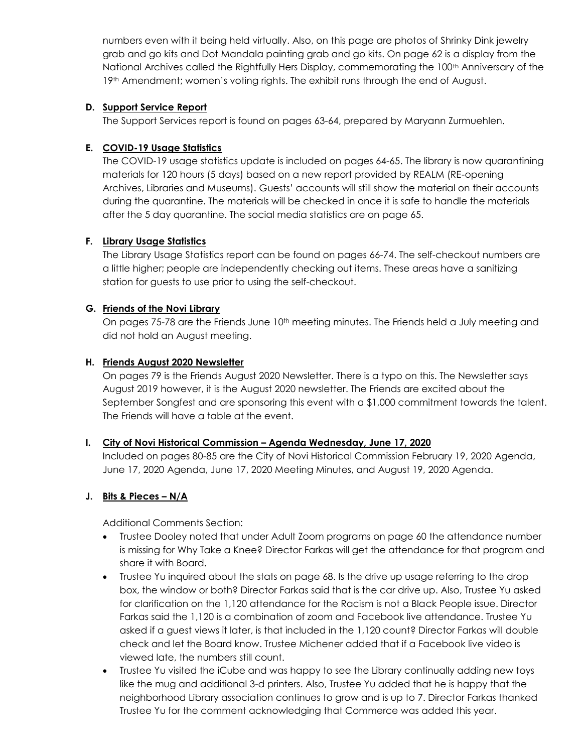numbers even with it being held virtually. Also, on this page are photos of Shrinky Dink jewelry grab and go kits and Dot Mandala painting grab and go kits. On page 62 is a display from the National Archives called the Rightfully Hers Display, commemorating the 100<sup>th</sup> Anniversary of the 19th Amendment; women's voting rights. The exhibit runs through the end of August.

#### **D. Support Service Report**

The Support Services report is found on pages 63-64, prepared by Maryann Zurmuehlen.

#### **E. COVID-19 Usage Statistics**

The COVID-19 usage statistics update is included on pages 64-65. The library is now quarantining materials for 120 hours (5 days) based on a new report provided by REALM (RE-opening Archives, Libraries and Museums). Guests' accounts will still show the material on their accounts during the quarantine. The materials will be checked in once it is safe to handle the materials after the 5 day quarantine. The social media statistics are on page 65.

#### **F. Library Usage Statistics**

The Library Usage Statistics report can be found on pages 66-74. The self-checkout numbers are a little higher; people are independently checking out items. These areas have a sanitizing station for guests to use prior to using the self-checkout.

#### **G. Friends of the Novi Library**

On pages 75-78 are the Friends June 10<sup>th</sup> meeting minutes. The Friends held a July meeting and did not hold an August meeting.

#### **H. Friends August 2020 Newsletter**

On pages 79 is the Friends August 2020 Newsletter. There is a typo on this. The Newsletter says August 2019 however, it is the August 2020 newsletter. The Friends are excited about the September Songfest and are sponsoring this event with a \$1,000 commitment towards the talent. The Friends will have a table at the event.

### **I. City of Novi Historical Commission – Agenda Wednesday, June 17, 2020**

Included on pages 80-85 are the City of Novi Historical Commission February 19, 2020 Agenda, June 17, 2020 Agenda, June 17, 2020 Meeting Minutes, and August 19, 2020 Agenda.

### **J. Bits & Pieces – N/A**

Additional Comments Section:

- Trustee Dooley noted that under Adult Zoom programs on page 60 the attendance number is missing for Why Take a Knee? Director Farkas will get the attendance for that program and share it with Board.
- Trustee Yu inquired about the stats on page 68. Is the drive up usage referring to the drop box, the window or both? Director Farkas said that is the car drive up. Also, Trustee Yu asked for clarification on the 1,120 attendance for the Racism is not a Black People issue. Director Farkas said the 1,120 is a combination of zoom and Facebook live attendance. Trustee Yu asked if a guest views it later, is that included in the 1,120 count? Director Farkas will double check and let the Board know. Trustee Michener added that if a Facebook live video is viewed late, the numbers still count.
- Trustee Yu visited the iCube and was happy to see the Library continually adding new toys like the mug and additional 3-d printers. Also, Trustee Yu added that he is happy that the neighborhood Library association continues to grow and is up to 7. Director Farkas thanked Trustee Yu for the comment acknowledging that Commerce was added this year.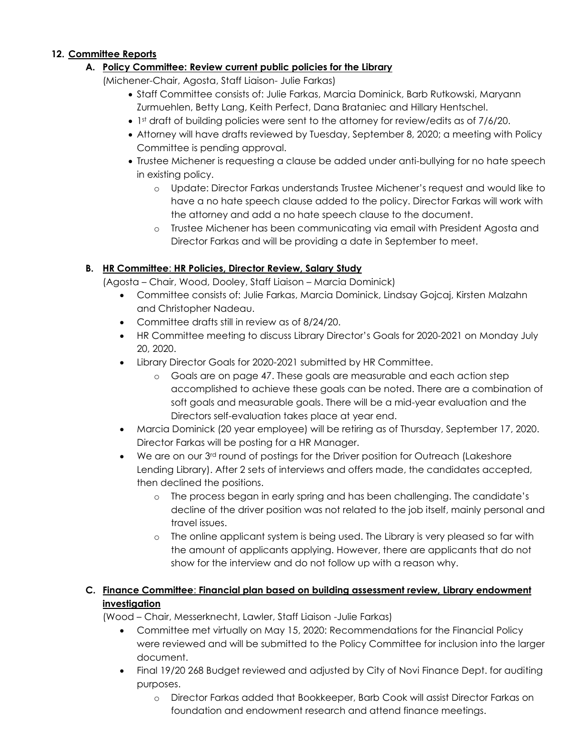#### **12. Committee Reports**

#### **A. Policy Committee: Review current public policies for the Library**

(Michener-Chair, Agosta, Staff Liaison- Julie Farkas)

- Staff Committee consists of: Julie Farkas, Marcia Dominick, Barb Rutkowski, Maryann Zurmuehlen, Betty Lang, Keith Perfect, Dana Brataniec and Hillary Hentschel.
- 1st draft of building policies were sent to the attorney for review/edits as of 7/6/20.
- Attorney will have drafts reviewed by Tuesday, September 8, 2020; a meeting with Policy Committee is pending approval.
- Trustee Michener is requesting a clause be added under anti-bullying for no hate speech in existing policy.
	- o Update: Director Farkas understands Trustee Michener's request and would like to have a no hate speech clause added to the policy. Director Farkas will work with the attorney and add a no hate speech clause to the document.
	- o Trustee Michener has been communicating via email with President Agosta and Director Farkas and will be providing a date in September to meet.

#### **B. HR Committee**: **HR Policies, Director Review, Salary Study**

(Agosta – Chair, Wood, Dooley, Staff Liaison – Marcia Dominick)

- Committee consists of: Julie Farkas, Marcia Dominick, Lindsay Gojcaj, Kirsten Malzahn and Christopher Nadeau.
- Committee drafts still in review as of 8/24/20.
- HR Committee meeting to discuss Library Director's Goals for 2020-2021 on Monday July 20, 2020.
- Library Director Goals for 2020-2021 submitted by HR Committee.
	- o Goals are on page 47. These goals are measurable and each action step accomplished to achieve these goals can be noted. There are a combination of soft goals and measurable goals. There will be a mid-year evaluation and the Directors self-evaluation takes place at year end.
- Marcia Dominick (20 year employee) will be retiring as of Thursday, September 17, 2020. Director Farkas will be posting for a HR Manager.
- $\bullet$  We are on our 3<sup>rd</sup> round of postings for the Driver position for Outreach (Lakeshore Lending Library). After 2 sets of interviews and offers made, the candidates accepted, then declined the positions.
	- o The process began in early spring and has been challenging. The candidate's decline of the driver position was not related to the job itself, mainly personal and travel issues.
	- o The online applicant system is being used. The Library is very pleased so far with the amount of applicants applying. However, there are applicants that do not show for the interview and do not follow up with a reason why.

### **C. Finance Committee**: **Financial plan based on building assessment review, Library endowment investigation**

(Wood – Chair, Messerknecht, Lawler, Staff Liaison -Julie Farkas)

- Committee met virtually on May 15, 2020: Recommendations for the Financial Policy were reviewed and will be submitted to the Policy Committee for inclusion into the larger document.
- Final 19/20 268 Budget reviewed and adjusted by City of Novi Finance Dept. for auditing purposes.
	- o Director Farkas added that Bookkeeper, Barb Cook will assist Director Farkas on foundation and endowment research and attend finance meetings.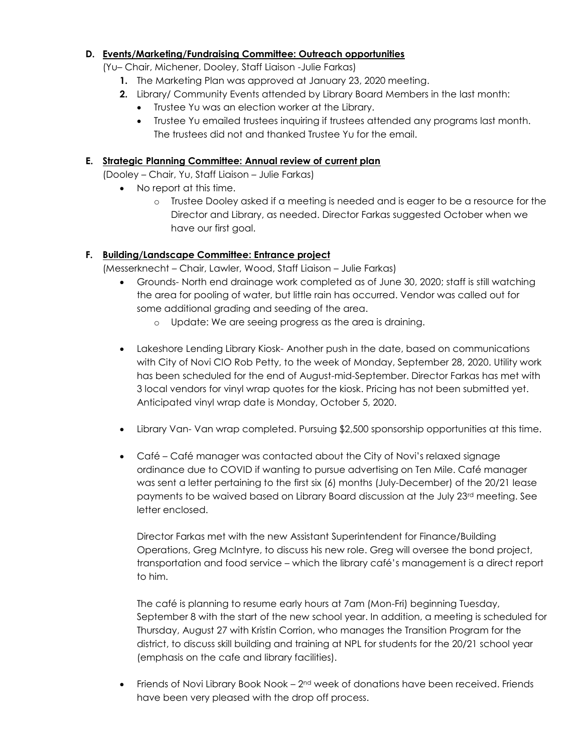#### **D. Events/Marketing/Fundraising Committee: Outreach opportunities**

(Yu– Chair, Michener, Dooley, Staff Liaison -Julie Farkas)

- **1.** The Marketing Plan was approved at January 23, 2020 meeting.
- **2.** Library/ Community Events attended by Library Board Members in the last month:
	- Trustee Yu was an election worker at the Library.
	- Trustee Yu emailed trustees inquiring if trustees attended any programs last month. The trustees did not and thanked Trustee Yu for the email.

#### **E. Strategic Planning Committee: Annual review of current plan**

(Dooley – Chair, Yu, Staff Liaison – Julie Farkas)

- No report at this time.
	- o Trustee Dooley asked if a meeting is needed and is eager to be a resource for the Director and Library, as needed. Director Farkas suggested October when we have our first goal.

#### **F. Building/Landscape Committee: Entrance project**

(Messerknecht – Chair, Lawler, Wood, Staff Liaison – Julie Farkas)

- Grounds- North end drainage work completed as of June 30, 2020; staff is still watching the area for pooling of water, but little rain has occurred. Vendor was called out for some additional grading and seeding of the area.
	- o Update: We are seeing progress as the area is draining.
- Lakeshore Lending Library Kiosk- Another push in the date, based on communications with City of Novi CIO Rob Petty, to the week of Monday, September 28, 2020. Utility work has been scheduled for the end of August-mid-September. Director Farkas has met with 3 local vendors for vinyl wrap quotes for the kiosk. Pricing has not been submitted yet. Anticipated vinyl wrap date is Monday, October 5, 2020.
- Library Van- Van wrap completed. Pursuing \$2,500 sponsorship opportunities at this time.
- Café Café manager was contacted about the City of Novi's relaxed signage ordinance due to COVID if wanting to pursue advertising on Ten Mile. Café manager was sent a letter pertaining to the first six (6) months (July-December) of the 20/21 lease payments to be waived based on Library Board discussion at the July 23<sup>rd</sup> meeting. See letter enclosed.

Director Farkas met with the new Assistant Superintendent for Finance/Building Operations, Greg McIntyre, to discuss his new role. Greg will oversee the bond project, transportation and food service – which the library café's management is a direct report to him.

The café is planning to resume early hours at 7am (Mon-Fri) beginning Tuesday, September 8 with the start of the new school year. In addition, a meeting is scheduled for Thursday, August 27 with Kristin Corrion, who manages the Transition Program for the district, to discuss skill building and training at NPL for students for the 20/21 school year (emphasis on the cafe and library facilities).

• Friends of Novi Library Book Nook - 2<sup>nd</sup> week of donations have been received. Friends have been very pleased with the drop off process.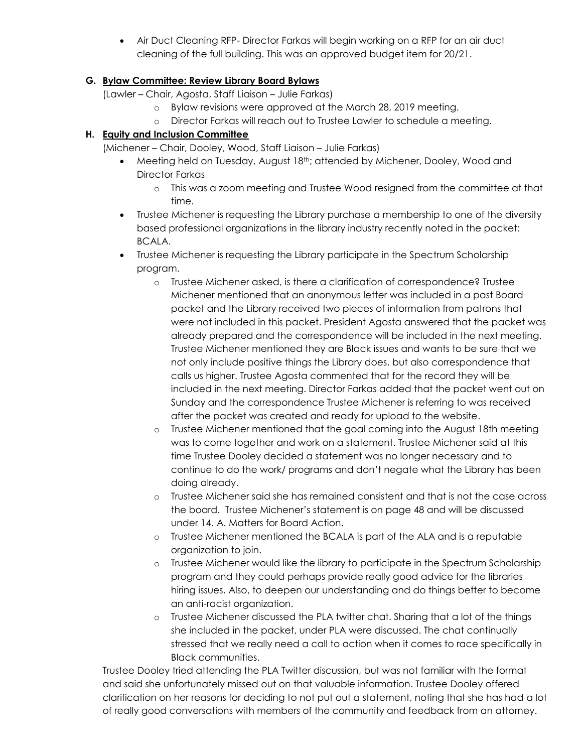Air Duct Cleaning RFP- Director Farkas will begin working on a RFP for an air duct cleaning of the full building. This was an approved budget item for 20/21.

### **G. Bylaw Committee: Review Library Board Bylaws**

(Lawler – Chair, Agosta, Staff Liaison – Julie Farkas)

- o Bylaw revisions were approved at the March 28, 2019 meeting.
- o Director Farkas will reach out to Trustee Lawler to schedule a meeting.

### **H. Equity and Inclusion Committee**

(Michener – Chair, Dooley, Wood, Staff Liaison – Julie Farkas)

- Meeting held on Tuesday, August 18<sup>th</sup>; attended by Michener, Dooley, Wood and Director Farkas
	- o This was a zoom meeting and Trustee Wood resigned from the committee at that time.
- Trustee Michener is requesting the Library purchase a membership to one of the diversity based professional organizations in the library industry recently noted in the packet: BCALA.
- Trustee Michener is requesting the Library participate in the Spectrum Scholarship program.
	- o Trustee Michener asked, is there a clarification of correspondence? Trustee Michener mentioned that an anonymous letter was included in a past Board packet and the Library received two pieces of information from patrons that were not included in this packet. President Agosta answered that the packet was already prepared and the correspondence will be included in the next meeting. Trustee Michener mentioned they are Black issues and wants to be sure that we not only include positive things the Library does, but also correspondence that calls us higher. Trustee Agosta commented that for the record they will be included in the next meeting. Director Farkas added that the packet went out on Sunday and the correspondence Trustee Michener is referring to was received after the packet was created and ready for upload to the website.
	- o Trustee Michener mentioned that the goal coming into the August 18th meeting was to come together and work on a statement. Trustee Michener said at this time Trustee Dooley decided a statement was no longer necessary and to continue to do the work/ programs and don't negate what the Library has been doing already.
	- o Trustee Michener said she has remained consistent and that is not the case across the board. Trustee Michener's statement is on page 48 and will be discussed under 14. A. Matters for Board Action.
	- o Trustee Michener mentioned the BCALA is part of the ALA and is a reputable organization to join.
	- o Trustee Michener would like the library to participate in the Spectrum Scholarship program and they could perhaps provide really good advice for the libraries hiring issues. Also, to deepen our understanding and do things better to become an anti-racist organization.
	- o Trustee Michener discussed the PLA twitter chat. Sharing that a lot of the things she included in the packet, under PLA were discussed. The chat continually stressed that we really need a call to action when it comes to race specifically in Black communities.

Trustee Dooley tried attending the PLA Twitter discussion, but was not familiar with the format and said she unfortunately missed out on that valuable information. Trustee Dooley offered clarification on her reasons for deciding to not put out a statement, noting that she has had a lot of really good conversations with members of the community and feedback from an attorney.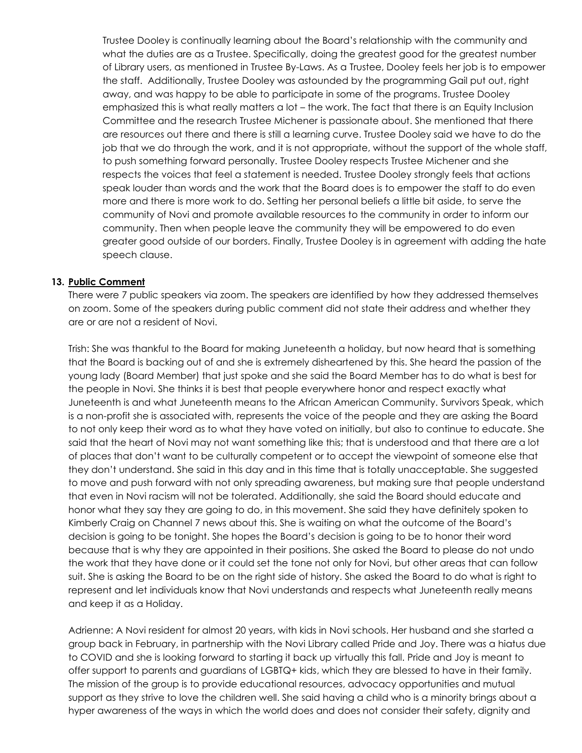Trustee Dooley is continually learning about the Board's relationship with the community and what the duties are as a Trustee. Specifically, doing the greatest good for the greatest number of Library users, as mentioned in Trustee By-Laws. As a Trustee, Dooley feels her job is to empower the staff. Additionally, Trustee Dooley was astounded by the programming Gail put out, right away, and was happy to be able to participate in some of the programs. Trustee Dooley emphasized this is what really matters a lot – the work. The fact that there is an Equity Inclusion Committee and the research Trustee Michener is passionate about. She mentioned that there are resources out there and there is still a learning curve. Trustee Dooley said we have to do the job that we do through the work, and it is not appropriate, without the support of the whole staff, to push something forward personally. Trustee Dooley respects Trustee Michener and she respects the voices that feel a statement is needed. Trustee Dooley strongly feels that actions speak louder than words and the work that the Board does is to empower the staff to do even more and there is more work to do. Setting her personal beliefs a little bit aside, to serve the community of Novi and promote available resources to the community in order to inform our community. Then when people leave the community they will be empowered to do even greater good outside of our borders. Finally, Trustee Dooley is in agreement with adding the hate speech clause.

#### **13. Public Comment**

There were 7 public speakers via zoom. The speakers are identified by how they addressed themselves on zoom. Some of the speakers during public comment did not state their address and whether they are or are not a resident of Novi.

Trish: She was thankful to the Board for making Juneteenth a holiday, but now heard that is something that the Board is backing out of and she is extremely disheartened by this. She heard the passion of the young lady (Board Member) that just spoke and she said the Board Member has to do what is best for the people in Novi. She thinks it is best that people everywhere honor and respect exactly what Juneteenth is and what Juneteenth means to the African American Community. Survivors Speak, which is a non-profit she is associated with, represents the voice of the people and they are asking the Board to not only keep their word as to what they have voted on initially, but also to continue to educate. She said that the heart of Novi may not want something like this; that is understood and that there are a lot of places that don't want to be culturally competent or to accept the viewpoint of someone else that they don't understand. She said in this day and in this time that is totally unacceptable. She suggested to move and push forward with not only spreading awareness, but making sure that people understand that even in Novi racism will not be tolerated. Additionally, she said the Board should educate and honor what they say they are going to do, in this movement. She said they have definitely spoken to Kimberly Craig on Channel 7 news about this. She is waiting on what the outcome of the Board's decision is going to be tonight. She hopes the Board's decision is going to be to honor their word because that is why they are appointed in their positions. She asked the Board to please do not undo the work that they have done or it could set the tone not only for Novi, but other areas that can follow suit. She is asking the Board to be on the right side of history. She asked the Board to do what is right to represent and let individuals know that Novi understands and respects what Juneteenth really means and keep it as a Holiday.

Adrienne: A Novi resident for almost 20 years, with kids in Novi schools. Her husband and she started a group back in February, in partnership with the Novi Library called Pride and Joy. There was a hiatus due to COVID and she is looking forward to starting it back up virtually this fall. Pride and Joy is meant to offer support to parents and guardians of LGBTQ+ kids, which they are blessed to have in their family. The mission of the group is to provide educational resources, advocacy opportunities and mutual support as they strive to love the children well. She said having a child who is a minority brings about a hyper awareness of the ways in which the world does and does not consider their safety, dignity and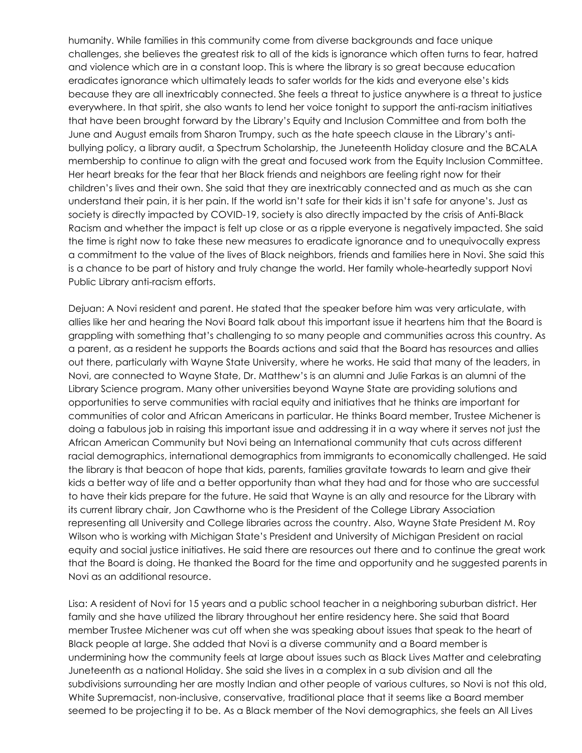humanity. While families in this community come from diverse backgrounds and face unique challenges, she believes the greatest risk to all of the kids is ignorance which often turns to fear, hatred and violence which are in a constant loop. This is where the library is so great because education eradicates ignorance which ultimately leads to safer worlds for the kids and everyone else's kids because they are all inextricably connected. She feels a threat to justice anywhere is a threat to justice everywhere. In that spirit, she also wants to lend her voice tonight to support the anti-racism initiatives that have been brought forward by the Library's Equity and Inclusion Committee and from both the June and August emails from Sharon Trumpy, such as the hate speech clause in the Library's antibullying policy, a library audit, a Spectrum Scholarship, the Juneteenth Holiday closure and the BCALA membership to continue to align with the great and focused work from the Equity Inclusion Committee. Her heart breaks for the fear that her Black friends and neighbors are feeling right now for their children's lives and their own. She said that they are inextricably connected and as much as she can understand their pain, it is her pain. If the world isn't safe for their kids it isn't safe for anyone's. Just as society is directly impacted by COVID-19, society is also directly impacted by the crisis of Anti-Black Racism and whether the impact is felt up close or as a ripple everyone is negatively impacted. She said the time is right now to take these new measures to eradicate ignorance and to unequivocally express a commitment to the value of the lives of Black neighbors, friends and families here in Novi. She said this is a chance to be part of history and truly change the world. Her family whole-heartedly support Novi Public Library anti-racism efforts.

Dejuan: A Novi resident and parent. He stated that the speaker before him was very articulate, with allies like her and hearing the Novi Board talk about this important issue it heartens him that the Board is grappling with something that's challenging to so many people and communities across this country. As a parent, as a resident he supports the Boards actions and said that the Board has resources and allies out there, particularly with Wayne State University, where he works. He said that many of the leaders, in Novi, are connected to Wayne State, Dr. Matthew's is an alumni and Julie Farkas is an alumni of the Library Science program. Many other universities beyond Wayne State are providing solutions and opportunities to serve communities with racial equity and initiatives that he thinks are important for communities of color and African Americans in particular. He thinks Board member, Trustee Michener is doing a fabulous job in raising this important issue and addressing it in a way where it serves not just the African American Community but Novi being an International community that cuts across different racial demographics, international demographics from immigrants to economically challenged. He said the library is that beacon of hope that kids, parents, families gravitate towards to learn and give their kids a better way of life and a better opportunity than what they had and for those who are successful to have their kids prepare for the future. He said that Wayne is an ally and resource for the Library with its current library chair, Jon Cawthorne who is the President of the College Library Association representing all University and College libraries across the country. Also, Wayne State President M. Roy Wilson who is working with Michigan State's President and University of Michigan President on racial equity and social justice initiatives. He said there are resources out there and to continue the great work that the Board is doing. He thanked the Board for the time and opportunity and he suggested parents in Novi as an additional resource.

Lisa: A resident of Novi for 15 years and a public school teacher in a neighboring suburban district. Her family and she have utilized the library throughout her entire residency here. She said that Board member Trustee Michener was cut off when she was speaking about issues that speak to the heart of Black people at large. She added that Novi is a diverse community and a Board member is undermining how the community feels at large about issues such as Black Lives Matter and celebrating Juneteenth as a national Holiday. She said she lives in a complex in a sub division and all the subdivisions surrounding her are mostly Indian and other people of various cultures, so Novi is not this old, White Supremacist, non-inclusive, conservative, traditional place that it seems like a Board member seemed to be projecting it to be. As a Black member of the Novi demographics, she feels an All Lives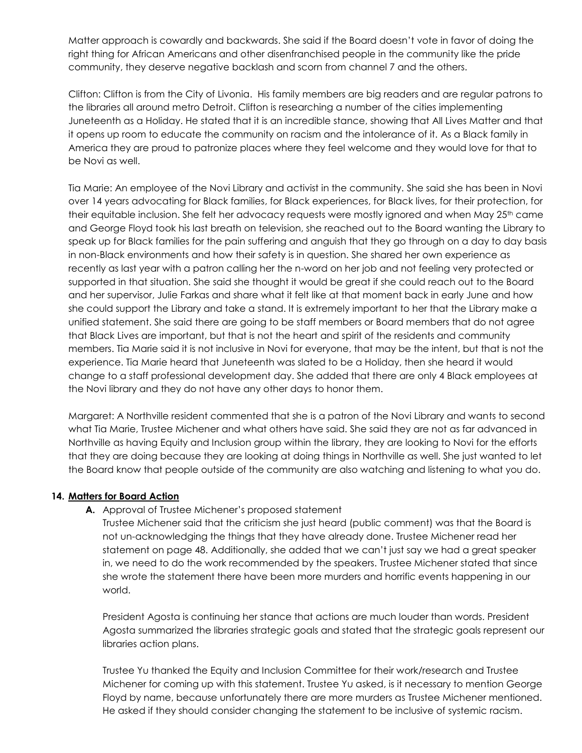Matter approach is cowardly and backwards. She said if the Board doesn't vote in favor of doing the right thing for African Americans and other disenfranchised people in the community like the pride community, they deserve negative backlash and scorn from channel 7 and the others.

Clifton: Clifton is from the City of Livonia. His family members are big readers and are regular patrons to the libraries all around metro Detroit. Clifton is researching a number of the cities implementing Juneteenth as a Holiday. He stated that it is an incredible stance, showing that All Lives Matter and that it opens up room to educate the community on racism and the intolerance of it. As a Black family in America they are proud to patronize places where they feel welcome and they would love for that to be Novi as well.

Tia Marie: An employee of the Novi Library and activist in the community. She said she has been in Novi over 14 years advocating for Black families, for Black experiences, for Black lives, for their protection, for their equitable inclusion. She felt her advocacy requests were mostly ignored and when May 25th came and George Floyd took his last breath on television, she reached out to the Board wanting the Library to speak up for Black families for the pain suffering and anguish that they go through on a day to day basis in non-Black environments and how their safety is in question. She shared her own experience as recently as last year with a patron calling her the n-word on her job and not feeling very protected or supported in that situation. She said she thought it would be great if she could reach out to the Board and her supervisor, Julie Farkas and share what it felt like at that moment back in early June and how she could support the Library and take a stand. It is extremely important to her that the Library make a unified statement. She said there are going to be staff members or Board members that do not agree that Black Lives are important, but that is not the heart and spirit of the residents and community members. Tia Marie said it is not inclusive in Novi for everyone, that may be the intent, but that is not the experience. Tia Marie heard that Juneteenth was slated to be a Holiday, then she heard it would change to a staff professional development day. She added that there are only 4 Black employees at the Novi library and they do not have any other days to honor them.

Margaret: A Northville resident commented that she is a patron of the Novi Library and wants to second what Tia Marie, Trustee Michener and what others have said. She said they are not as far advanced in Northville as having Equity and Inclusion group within the library, they are looking to Novi for the efforts that they are doing because they are looking at doing things in Northville as well. She just wanted to let the Board know that people outside of the community are also watching and listening to what you do.

#### **14. Matters for Board Action**

**A.** Approval of Trustee Michener's proposed statement

Trustee Michener said that the criticism she just heard (public comment) was that the Board is not un-acknowledging the things that they have already done. Trustee Michener read her statement on page 48. Additionally, she added that we can't just say we had a great speaker in, we need to do the work recommended by the speakers. Trustee Michener stated that since she wrote the statement there have been more murders and horrific events happening in our world.

President Agosta is continuing her stance that actions are much louder than words. President Agosta summarized the libraries strategic goals and stated that the strategic goals represent our libraries action plans.

Trustee Yu thanked the Equity and Inclusion Committee for their work/research and Trustee Michener for coming up with this statement. Trustee Yu asked, is it necessary to mention George Floyd by name, because unfortunately there are more murders as Trustee Michener mentioned. He asked if they should consider changing the statement to be inclusive of systemic racism.